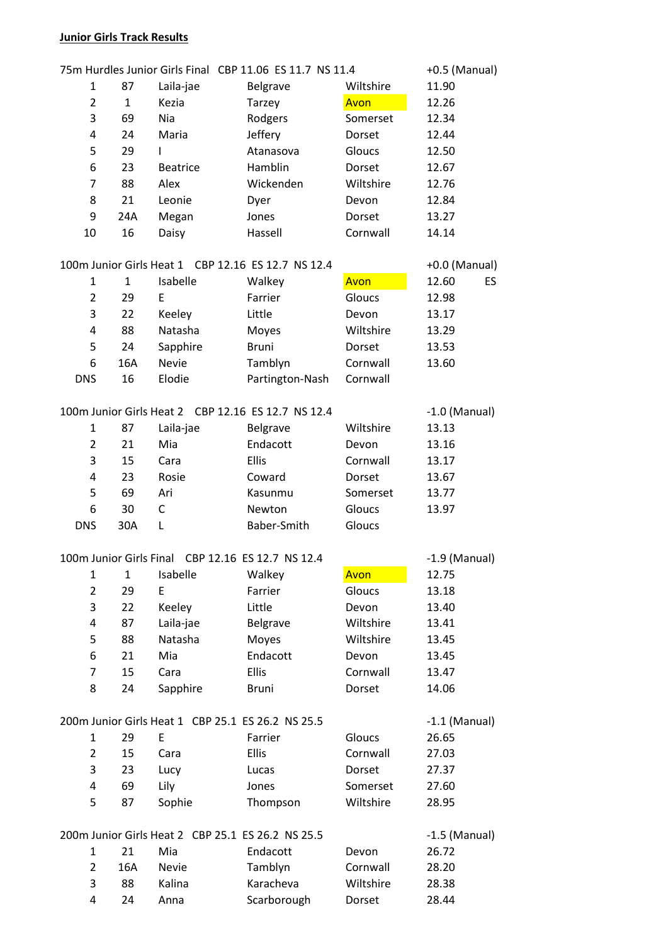# **Junior Girls Track Results**

|                |              |                 | 75m Hurdles Junior Girls Final CBP 11.06 ES 11.7 NS 11.4 |           | +0.5 (Manual)   |
|----------------|--------------|-----------------|----------------------------------------------------------|-----------|-----------------|
| 1              | 87           | Laila-jae       | Belgrave                                                 | Wiltshire | 11.90           |
| $\overline{2}$ | $\mathbf{1}$ | Kezia           | Tarzey                                                   | Avon      | 12.26           |
| 3              | 69           | Nia             | Rodgers                                                  | Somerset  | 12.34           |
| 4              | 24           | Maria           | Jeffery                                                  | Dorset    | 12.44           |
| 5              | 29           | L               | Atanasova                                                | Gloucs    | 12.50           |
| 6              | 23           | <b>Beatrice</b> | Hamblin                                                  | Dorset    | 12.67           |
| 7              | 88           | Alex            | Wickenden                                                | Wiltshire | 12.76           |
| 8              | 21           | Leonie          | Dyer                                                     | Devon     | 12.84           |
| 9              | 24A          | Megan           | Jones                                                    | Dorset    | 13.27           |
| 10             | 16           | Daisy           | Hassell                                                  | Cornwall  | 14.14           |
|                |              |                 | 100m Junior Girls Heat 1 CBP 12.16 ES 12.7 NS 12.4       |           | +0.0 (Manual)   |
| 1              | $\mathbf{1}$ | Isabelle        | Walkey                                                   | Avon      | 12.60<br>ES     |
| $\overline{2}$ | 29           | E               | Farrier                                                  | Gloucs    | 12.98           |
| 3              | 22           | Keeley          | Little                                                   | Devon     | 13.17           |
| 4              | 88           | Natasha         | Moyes                                                    | Wiltshire | 13.29           |
| 5              | 24           | Sapphire        | <b>Bruni</b>                                             | Dorset    | 13.53           |
| 6              | 16A          | <b>Nevie</b>    | Tamblyn                                                  | Cornwall  | 13.60           |
| <b>DNS</b>     | 16           | Elodie          | Partington-Nash                                          | Cornwall  |                 |
|                |              |                 |                                                          |           |                 |
|                |              |                 | 100m Junior Girls Heat 2 CBP 12.16 ES 12.7 NS 12.4       |           | $-1.0$ (Manual) |
| 1              | 87           | Laila-jae       | Belgrave                                                 | Wiltshire | 13.13           |
| $\overline{2}$ | 21           | Mia             | Endacott                                                 | Devon     | 13.16           |
| 3              | 15           | Cara            | Ellis                                                    | Cornwall  | 13.17           |
| 4              | 23           | Rosie           | Coward                                                   | Dorset    | 13.67           |
| 5              | 69           | Ari             | Kasunmu                                                  | Somerset  | 13.77           |
| 6              | 30           | C               | Newton                                                   | Gloucs    | 13.97           |
| <b>DNS</b>     | 30A          | Г               | Baber-Smith                                              | Gloucs    |                 |
|                |              |                 | 100m Junior Girls Final CBP 12.16 ES 12.7 NS 12.4        |           | $-1.9$ (Manual) |
| 1              | $\mathbf{1}$ | Isabelle        | Walkey                                                   | Avon      | 12.75           |
| $\overline{2}$ | 29           | E               | Farrier                                                  | Gloucs    | 13.18           |
| 3              | 22           | Keeley          | Little                                                   | Devon     | 13.40           |
| 4              | 87           | Laila-jae       | <b>Belgrave</b>                                          | Wiltshire | 13.41           |
| 5              | 88           | Natasha         | Moyes                                                    | Wiltshire | 13.45           |
| 6              | 21           | Mia             | Endacott                                                 | Devon     | 13.45           |
| 7              | 15           | Cara            | Ellis                                                    | Cornwall  | 13.47           |
| 8              | 24           | Sapphire        | <b>Bruni</b>                                             | Dorset    | 14.06           |
|                |              |                 | 200m Junior Girls Heat 1 CBP 25.1 ES 26.2 NS 25.5        |           | $-1.1$ (Manual) |
| 1              | 29           | E               | Farrier                                                  | Gloucs    | 26.65           |
| $\overline{2}$ | 15           | Cara            | Ellis                                                    | Cornwall  | 27.03           |
| 3              | 23           | Lucy            | Lucas                                                    | Dorset    | 27.37           |
| 4              | 69           | Lily            | Jones                                                    | Somerset  | 27.60           |
| 5              | 87           | Sophie          | Thompson                                                 | Wiltshire | 28.95           |
|                |              |                 |                                                          |           |                 |
|                |              |                 | 200m Junior Girls Heat 2 CBP 25.1 ES 26.2 NS 25.5        |           | $-1.5$ (Manual) |
| 1              | 21           | Mia             | Endacott                                                 | Devon     | 26.72           |
| $\overline{2}$ | 16A          | Nevie           | Tamblyn                                                  | Cornwall  | 28.20           |
| 3              | 88           | Kalina          | Karacheva                                                | Wiltshire | 28.38           |
| 4              | 24           | Anna            | Scarborough                                              | Dorset    | 28.44           |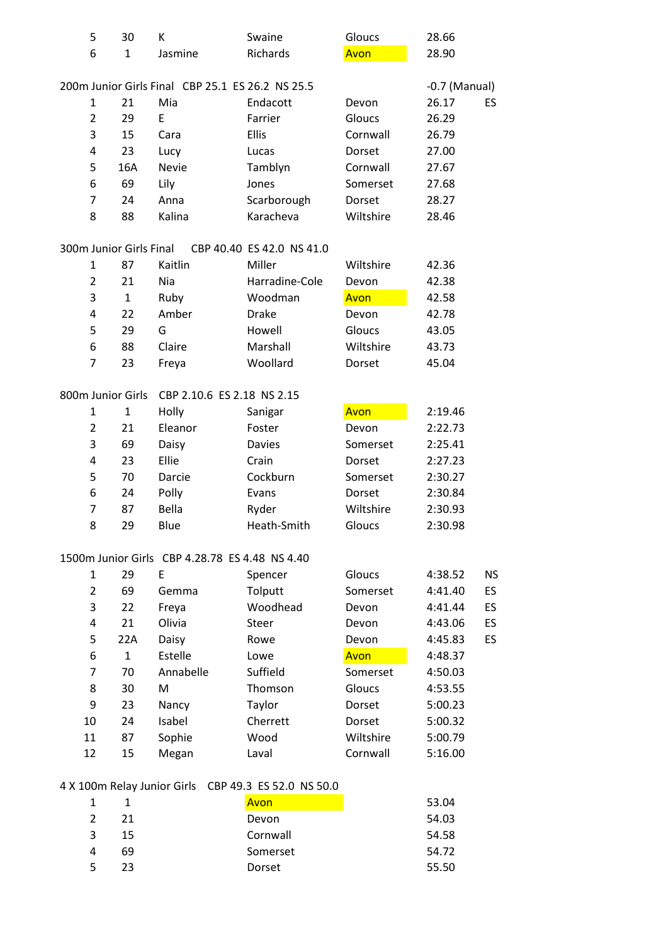| 5                       | 30           | К                                              | Swaine                                           | Gloucs    | 28.66           |           |
|-------------------------|--------------|------------------------------------------------|--------------------------------------------------|-----------|-----------------|-----------|
| 6                       | $\mathbf{1}$ | Jasmine                                        | Richards                                         | Avon      | 28.90           |           |
|                         |              |                                                |                                                  |           |                 |           |
|                         |              |                                                | 200m Junior Girls Final CBP 25.1 ES 26.2 NS 25.5 |           | $-0.7$ (Manual) |           |
| $\mathbf{1}$            | 21           | Mia                                            | Endacott                                         | Devon     | 26.17           | <b>ES</b> |
| 2                       | 29           | E                                              | Farrier                                          | Gloucs    | 26.29           |           |
| 3                       | 15           | Cara                                           | <b>Ellis</b>                                     | Cornwall  | 26.79           |           |
| 4                       | 23           | Lucy                                           | Lucas                                            | Dorset    | 27.00           |           |
| 5                       | 16A          | Nevie                                          | Tamblyn                                          | Cornwall  | 27.67           |           |
| 6                       | 69           | Lily                                           | Jones                                            | Somerset  | 27.68           |           |
| 7                       | 24           | Anna                                           | Scarborough                                      | Dorset    | 28.27           |           |
| 8                       | 88           | Kalina                                         | Karacheva                                        | Wiltshire | 28.46           |           |
| 300m Junior Girls Final |              |                                                | CBP 40.40 ES 42.0 NS 41.0                        |           |                 |           |
| 1                       | 87           | Kaitlin                                        | Miller                                           | Wiltshire | 42.36           |           |
| $\overline{2}$          | 21           | Nia                                            | Harradine-Cole                                   | Devon     | 42.38           |           |
| 3                       | $\mathbf{1}$ | Ruby                                           | Woodman                                          | Avon      | 42.58           |           |
| 4                       | 22           | Amber                                          | <b>Drake</b>                                     | Devon     | 42.78           |           |
| 5                       | 29           | G                                              | Howell                                           | Gloucs    | 43.05           |           |
| 6                       | 88           | Claire                                         | Marshall                                         | Wiltshire | 43.73           |           |
| 7                       | 23           | Freya                                          | Woollard                                         | Dorset    | 45.04           |           |
|                         |              |                                                |                                                  |           |                 |           |
| 800m Junior Girls       |              | CBP 2.10.6 ES 2.18 NS 2.15                     |                                                  |           |                 |           |
| $\mathbf{1}$            | $\mathbf{1}$ | Holly                                          | Sanigar                                          | Avon      | 2:19.46         |           |
| $\overline{2}$          | 21           | Eleanor                                        | Foster                                           | Devon     | 2:22.73         |           |
| 3                       | 69           | Daisy                                          | <b>Davies</b>                                    | Somerset  | 2:25.41         |           |
| 4                       | 23           | Ellie                                          | Crain                                            | Dorset    | 2:27.23         |           |
| 5                       | 70           | Darcie                                         | Cockburn                                         | Somerset  | 2:30.27         |           |
| 6                       | 24           | Polly                                          | Evans                                            | Dorset    | 2:30.84         |           |
| 7                       | 87           | Bella                                          | Ryder                                            | Wiltshire | 2:30.93         |           |
| 8                       | 29           | Blue                                           | Heath-Smith                                      | Gloucs    | 2:30.98         |           |
|                         |              | 1500m Junior Girls CBP 4.28.78 ES 4.48 NS 4.40 |                                                  |           |                 |           |
| $\mathbf{1}$            | 29           | E                                              | Spencer                                          | Gloucs    | 4:38.52         | <b>NS</b> |
| $\overline{2}$          | 69           | Gemma                                          | Tolputt                                          | Somerset  | 4:41.40         | ES        |
| 3                       | 22           | Freya                                          | Woodhead                                         | Devon     | 4:41.44         | ES        |
| 4                       | 21           | Olivia                                         | <b>Steer</b>                                     | Devon     | 4:43.06         | ES        |
| 5                       | 22A          | Daisy                                          | Rowe                                             | Devon     | 4:45.83         | ES        |
| 6                       | $\mathbf{1}$ | Estelle                                        | Lowe                                             | Avon      | 4:48.37         |           |
| 7                       | 70           | Annabelle                                      | Suffield                                         | Somerset  | 4:50.03         |           |
| 8                       | 30           | M                                              | Thomson                                          | Gloucs    | 4:53.55         |           |
| 9                       | 23           | Nancy                                          | Taylor                                           | Dorset    | 5:00.23         |           |
| 10                      | 24           | Isabel                                         | Cherrett                                         | Dorset    | 5:00.32         |           |
| 11                      | 87           |                                                | Wood                                             | Wiltshire | 5:00.79         |           |
|                         |              | Sophie                                         |                                                  |           |                 |           |
| 12                      | 15           | Megan                                          | Laval                                            | Cornwall  | 5:16.00         |           |
|                         |              | 4 X 100m Relay Junior Girls                    | CBP 49.3 ES 52.0 NS 50.0                         |           |                 |           |
| $\mathbf{1}$            | $\mathbf{1}$ |                                                | Avon                                             |           | 53.04           |           |
|                         |              |                                                |                                                  |           |                 |           |

| 2  | 21 | Devon    | 54.03 |
|----|----|----------|-------|
| 3. | 15 | Cornwall | 54.58 |
| 4  | 69 | Somerset | 54.72 |
| 5  | フ3 | Dorset   | 55.50 |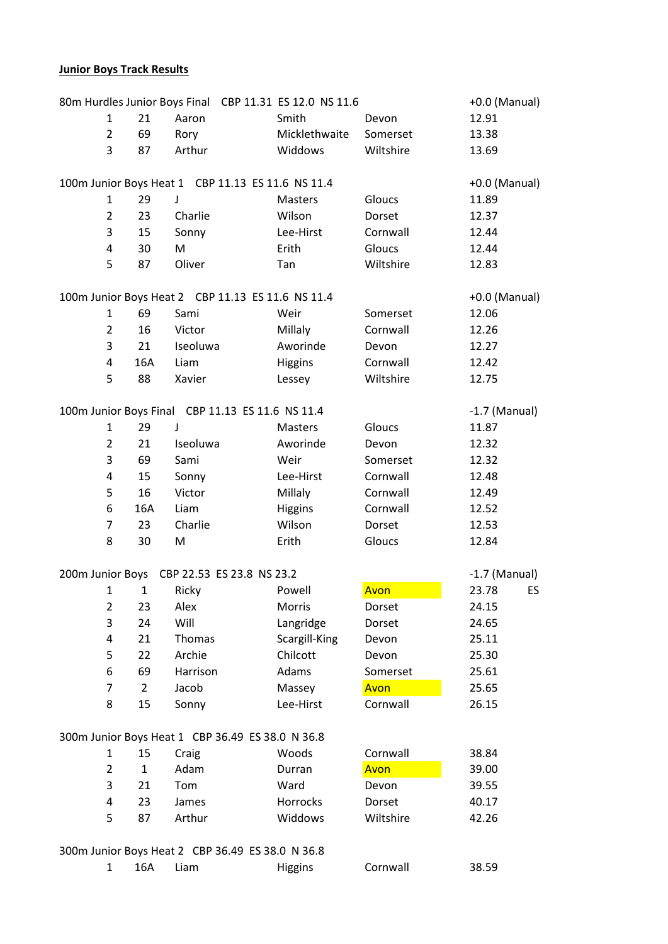# **Junior Boys Track Results**

|                  |                |              | 80m Hurdles Junior Boys Final CBP 11.31 ES 12.0 NS 11.6 |                |           | +0.0 (Manual)   |
|------------------|----------------|--------------|---------------------------------------------------------|----------------|-----------|-----------------|
|                  | $\mathbf{1}$   | 21           | Aaron                                                   | Smith          | Devon     | 12.91           |
|                  | $\overline{2}$ | 69           | Rory                                                    | Micklethwaite  | Somerset  | 13.38           |
|                  | 3              | 87           | Arthur                                                  | Widdows        | Wiltshire | 13.69           |
|                  |                |              |                                                         |                |           |                 |
|                  |                |              | 100m Junior Boys Heat 1 CBP 11.13 ES 11.6 NS 11.4       |                |           | +0.0 (Manual)   |
|                  | $\mathbf{1}$   | 29           | J                                                       | <b>Masters</b> | Gloucs    | 11.89           |
|                  | $\overline{2}$ | 23           | Charlie                                                 | Wilson         | Dorset    | 12.37           |
|                  | 3              | 15           | Sonny                                                   | Lee-Hirst      | Cornwall  | 12.44           |
|                  | 4              | 30           | M                                                       | Erith          | Gloucs    | 12.44           |
|                  | 5              | 87           | Oliver                                                  | Tan            | Wiltshire | 12.83           |
|                  |                |              |                                                         |                |           |                 |
|                  |                |              | 100m Junior Boys Heat 2 CBP 11.13 ES 11.6 NS 11.4       |                |           | +0.0 (Manual)   |
|                  | $\mathbf{1}$   | 69           | Sami                                                    | Weir           | Somerset  | 12.06           |
|                  | 2              | 16           | Victor                                                  | Millaly        | Cornwall  | 12.26           |
|                  | 3              | 21           | Iseoluwa                                                | Aworinde       | Devon     | 12.27           |
|                  | 4              | 16A          | Liam                                                    | Higgins        | Cornwall  | 12.42           |
|                  | 5              | 88           | Xavier                                                  | Lessey         | Wiltshire | 12.75           |
|                  |                |              |                                                         |                |           |                 |
|                  |                |              | 100m Junior Boys Final CBP 11.13 ES 11.6 NS 11.4        |                |           | $-1.7$ (Manual) |
|                  | $\mathbf{1}$   | 29           | J                                                       | Masters        | Gloucs    | 11.87           |
|                  | $\overline{2}$ | 21           | Iseoluwa                                                | Aworinde       | Devon     | 12.32           |
|                  | 3              | 69           | Sami                                                    | Weir           | Somerset  | 12.32           |
|                  | 4              | 15           | Sonny                                                   | Lee-Hirst      | Cornwall  | 12.48           |
|                  | 5              | 16           | Victor                                                  | Millaly        | Cornwall  | 12.49           |
|                  | 6              | 16A          | Liam                                                    | Higgins        | Cornwall  | 12.52           |
|                  | 7              | 23           | Charlie                                                 | Wilson         | Dorset    | 12.53           |
|                  | 8              | 30           | M                                                       | Erith          | Gloucs    | 12.84           |
|                  |                |              |                                                         |                |           |                 |
| 200m Junior Boys |                |              | CBP 22.53 ES 23.8 NS 23.2                               |                |           | $-1.7$ (Manual) |
|                  | $\mathbf{1}$   | 1            | Ricky                                                   | Powell         | Avon      | 23.78<br>ES     |
|                  | 2              | 23           | Alex                                                    | Morris         | Dorset    | 24.15           |
|                  | 3              | 24           | Will                                                    | Langridge      | Dorset    | 24.65           |
|                  | 4              | 21           | Thomas                                                  | Scargill-King  | Devon     | 25.11           |
|                  | 5              | 22           | Archie                                                  | Chilcott       | Devon     | 25.30           |
|                  | 6              | 69           | Harrison                                                | Adams          | Somerset  | 25.61           |
|                  | 7              | 2            | Jacob                                                   | Massey         | Avon      | 25.65           |
|                  | 8              | 15           | Sonny                                                   | Lee-Hirst      | Cornwall  | 26.15           |
|                  |                |              |                                                         |                |           |                 |
|                  |                |              | 300m Junior Boys Heat 1 CBP 36.49 ES 38.0 N 36.8        |                |           |                 |
|                  | $\mathbf{1}$   | 15           | Craig                                                   | Woods          | Cornwall  | 38.84           |
|                  | $\overline{2}$ | $\mathbf{1}$ | Adam                                                    | Durran         | Avon      | 39.00           |
|                  | 3              | 21           | Tom                                                     | Ward           | Devon     | 39.55           |
|                  | 4              | 23           | James                                                   | Horrocks       | Dorset    | 40.17           |
|                  | 5              | 87           | Arthur                                                  | Widdows        | Wiltshire | 42.26           |
|                  |                |              |                                                         |                |           |                 |
|                  |                |              | 300m Junior Boys Heat 2 CBP 36.49 ES 38.0 N 36.8        |                |           |                 |
|                  | $\mathbf{1}$   | 16A          | Liam                                                    | <b>Higgins</b> | Cornwall  | 38.59           |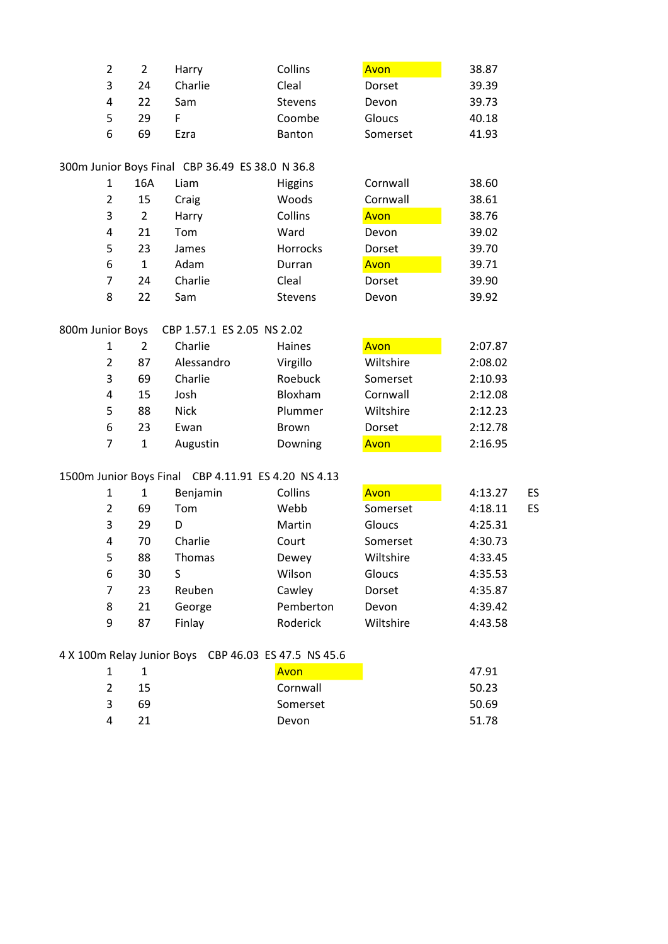|   |    | Harry   | Collins        | Avon          | 38.87 |
|---|----|---------|----------------|---------------|-------|
| 3 | 24 | Charlie | Cleal          | Dorset        | 39.39 |
|   | 22 | Sam     | <b>Stevens</b> | Devon         | 39.73 |
|   | 29 |         | Coombe         | <b>Gloucs</b> | 40.18 |
| 6 | 69 | Ezra    | <b>Banton</b>  | Somerset      | 41.93 |
|   |    |         |                |               |       |

#### 300m Junior Boys Final CBP 36.49 ES 38.0 N 36.8

|   | 16A | Liam    | <b>Higgins</b> | Cornwall | 38.60 |
|---|-----|---------|----------------|----------|-------|
| 2 | 15  | Craig   | Woods          | Cornwall | 38.61 |
| 3 | 2   | Harry   | Collins        | Avon     | 38.76 |
| 4 | 21  | Tom     | Ward           | Devon    | 39.02 |
| 5 | 23  | James   | Horrocks       | Dorset   | 39.70 |
| 6 | 1   | Adam    | Durran         | Avon     | 39.71 |
| 7 | 24  | Charlie | Cleal          | Dorset   | 39.90 |
| 8 | 22  | Sam     | <b>Stevens</b> | Devon    | 39.92 |

# 800m Junior Boys CBP 1.57.1 ES 2.05 NS 2.02

| כעטש וטווו    |               | <b>PDL T'1'T FRISHED TO TION</b> |              |           |         |
|---------------|---------------|----------------------------------|--------------|-----------|---------|
| 1             | $\mathfrak z$ | Charlie                          | Haines       | Avon      | 2:07.87 |
| $\mathcal{P}$ | 87            | Alessandro                       | Virgillo     | Wiltshire | 2:08.02 |
| 3             | 69            | Charlie                          | Roebuck      | Somerset  | 2:10.93 |
| 4             | 15            | Josh                             | Bloxham      | Cornwall  | 2:12.08 |
| 5             | 88            | <b>Nick</b>                      | Plummer      | Wiltshire | 2:12.23 |
| 6             | 23            | Ewan                             | <b>Brown</b> | Dorset    | 2:12.78 |
|               |               | Augustin                         | Downing      | Avon      | 2:16.95 |

#### 1500m Junior Boys Final CBP 4.11.91 ES 4.20 NS 4.13

| 1              | 1  | Benjamin      | Collins   | Avon      | 4:13.27 | <b>ES</b> |
|----------------|----|---------------|-----------|-----------|---------|-----------|
| $\overline{2}$ | 69 | Tom           | Webb      | Somerset  | 4:18.11 | <b>ES</b> |
| 3              | 29 | D             | Martin    | Gloucs    | 4:25.31 |           |
| 4              | 70 | Charlie       | Court     | Somerset  | 4:30.73 |           |
| 5              | 88 | <b>Thomas</b> | Dewey     | Wiltshire | 4:33.45 |           |
| 6              | 30 | S             | Wilson    | Gloucs    | 4:35.53 |           |
| 7              | 23 | Reuben        | Cawley    | Dorset    | 4:35.87 |           |
| 8              | 21 | George        | Pemberton | Devon     | 4:39.42 |           |
| 9              | 87 | Finlay        | Roderick  | Wiltshire | 4:43.58 |           |
|                |    |               |           |           |         |           |

#### 4 X 100m Relay Junior Boys CBP 46.03 ES 47.5 NS 45.6

|   |    | Avon     | 47.91 |
|---|----|----------|-------|
|   | 15 | Cornwall | 50.23 |
| 3 | 69 | Somerset | 50.69 |
|   | 21 | Devon    | 51.78 |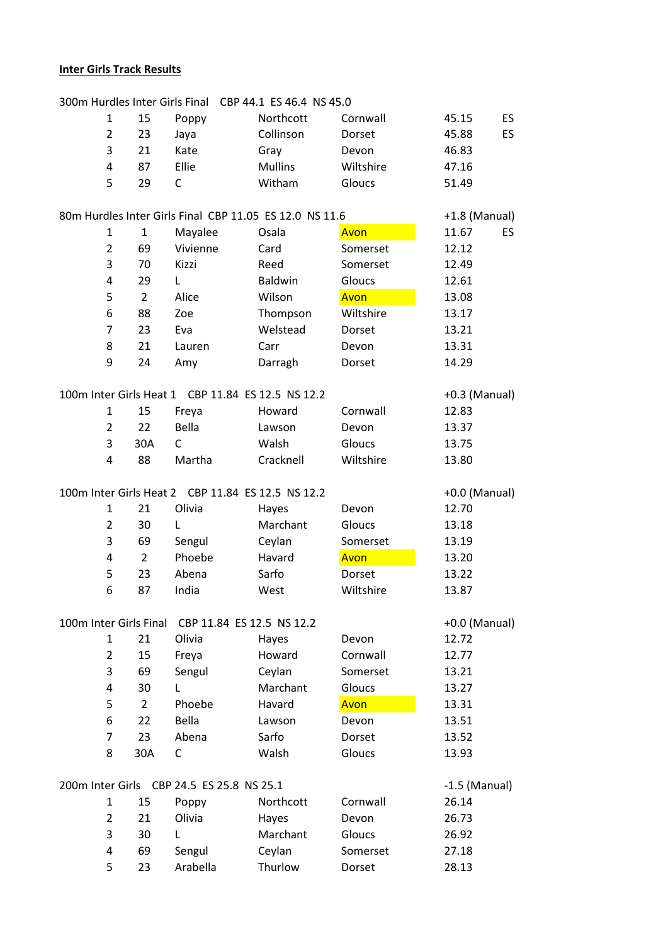# **Inter Girls Track Results**

|                        |                |                | 300m Hurdles Inter Girls Final CBP 44.1 ES 46.4 NS 45.0 |                |             |                 |
|------------------------|----------------|----------------|---------------------------------------------------------|----------------|-------------|-----------------|
|                        | 1              | 15             | Poppy                                                   | Northcott      | Cornwall    | ES<br>45.15     |
|                        | $\overline{2}$ | 23             | Jaya                                                    | Collinson      | Dorset      | ES.<br>45.88    |
|                        | 3              | 21             | Kate                                                    | Gray           | Devon       | 46.83           |
|                        | 4              | 87             | Ellie                                                   | <b>Mullins</b> | Wiltshire   | 47.16           |
|                        | 5              | 29             | C                                                       | Witham         | Gloucs      | 51.49           |
|                        |                |                |                                                         |                |             |                 |
|                        |                |                | 80m Hurdles Inter Girls Final CBP 11.05 ES 12.0 NS 11.6 |                |             | +1.8 (Manual)   |
|                        | 1              | $\mathbf{1}$   | Mayalee                                                 | Osala          | Avon        | 11.67<br>ES.    |
|                        | $\overline{2}$ | 69             | Vivienne                                                | Card           | Somerset    | 12.12           |
|                        | 3              | 70             | Kizzi                                                   | Reed           | Somerset    | 12.49           |
|                        | 4              | 29             | L                                                       | Baldwin        | Gloucs      | 12.61           |
|                        | 5              | $\overline{2}$ | Alice                                                   | Wilson         | Avon        | 13.08           |
|                        | 6              | 88             | Zoe                                                     | Thompson       | Wiltshire   | 13.17           |
|                        | 7              | 23             | Eva                                                     | Welstead       | Dorset      | 13.21           |
|                        | 8              | 21             | Lauren                                                  | Carr           | Devon       | 13.31           |
|                        | 9              | 24             | Amy                                                     | Darragh        | Dorset      | 14.29           |
|                        |                |                |                                                         |                |             |                 |
|                        |                |                | 100m Inter Girls Heat 1 CBP 11.84 ES 12.5 NS 12.2       |                |             | $+0.3$ (Manual) |
|                        | $\mathbf{1}$   | 15             | Freya                                                   | Howard         | Cornwall    | 12.83           |
|                        | $\overline{2}$ | 22             | Bella                                                   | Lawson         | Devon       | 13.37           |
|                        | 3              | 30A            | $\mathsf{C}$                                            | Walsh          | Gloucs      | 13.75           |
|                        | 4              | 88             | Martha                                                  | Cracknell      | Wiltshire   | 13.80           |
|                        |                |                |                                                         |                |             |                 |
|                        |                |                | 100m Inter Girls Heat 2 CBP 11.84 ES 12.5 NS 12.2       |                |             | $+0.0$ (Manual) |
|                        | 1              | 21             | Olivia                                                  | Hayes          | Devon       | 12.70           |
|                        | $\overline{2}$ | 30             | L                                                       | Marchant       | Gloucs      | 13.18           |
|                        | 3              | 69             | Sengul                                                  | Ceylan         | Somerset    | 13.19           |
|                        | 4              | $\overline{2}$ | Phoebe                                                  | Havard         | Avon        | 13.20           |
|                        | 5              | 23             | Abena                                                   | Sarfo          | Dorset      | 13.22           |
|                        | 6              | 87             | India                                                   | West           | Wiltshire   | 13.87           |
|                        |                |                |                                                         |                |             |                 |
| 100m Inter Girls Final |                |                | CBP 11.84 ES 12.5 NS 12.2                               |                |             | +0.0 (Manual)   |
|                        | $\mathbf{1}$   | 21             | Olivia                                                  | Hayes          | Devon       | 12.72           |
|                        | 2              | 15             | Freya                                                   | Howard         | Cornwall    | 12.77           |
|                        | 3              | 69             | Sengul                                                  | Ceylan         | Somerset    | 13.21           |
|                        | 4              | 30             | L                                                       | Marchant       | Gloucs      | 13.27           |
|                        | 5              | $\overline{2}$ | Phoebe                                                  | Havard         | <b>Avon</b> | 13.31           |
|                        | 6              | 22             | Bella                                                   | Lawson         | Devon       | 13.51           |
|                        | 7              | 23             | Abena                                                   | Sarfo          | Dorset      | 13.52           |
|                        | 8              | 30A            | C                                                       | Walsh          | Gloucs      | 13.93           |
|                        |                |                |                                                         |                |             |                 |
|                        |                |                | 200m Inter Girls CBP 24.5 ES 25.8 NS 25.1               |                |             | $-1.5$ (Manual) |
|                        | $\mathbf{1}$   | 15             | Poppy                                                   | Northcott      | Cornwall    | 26.14           |
|                        | 2              | 21             | Olivia                                                  | Hayes          | Devon       | 26.73           |
|                        | 3              | 30             | L                                                       | Marchant       | Gloucs      | 26.92           |
|                        | 4              | 69             | Sengul                                                  | Ceylan         | Somerset    | 27.18           |
|                        | 5              | 23             | Arabella                                                | Thurlow        | Dorset      | 28.13           |
|                        |                |                |                                                         |                |             |                 |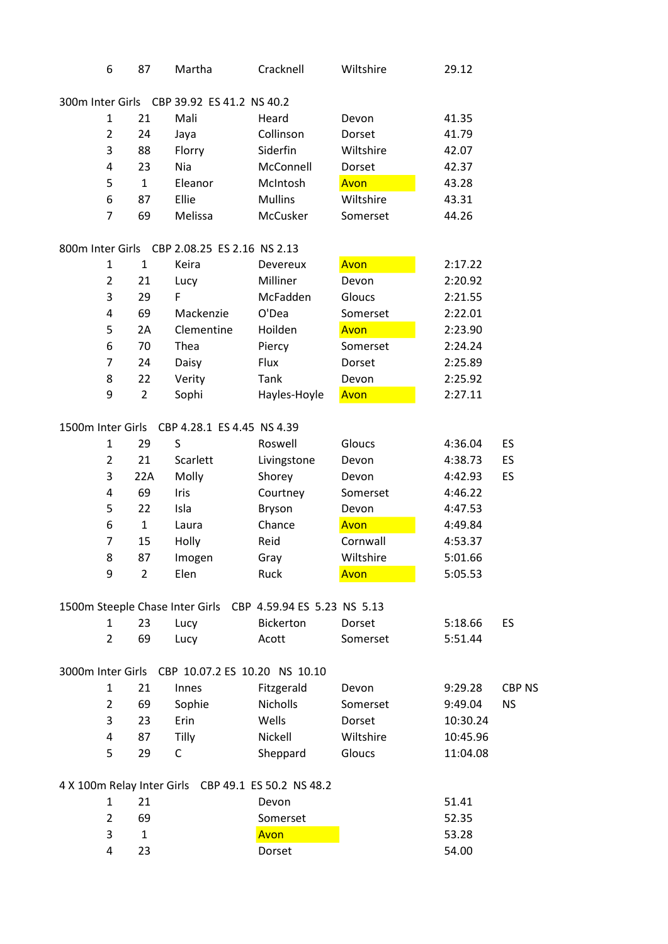| 6                 | 87             | Martha                                       | Cracknell                                                   | Wiltshire | 29.12    |               |
|-------------------|----------------|----------------------------------------------|-------------------------------------------------------------|-----------|----------|---------------|
|                   |                | 300m Inter Girls CBP 39.92 ES 41.2 NS 40.2   |                                                             |           |          |               |
| 1                 | 21             | Mali                                         | Heard                                                       | Devon     | 41.35    |               |
| $\overline{2}$    | 24             | Jaya                                         | Collinson                                                   | Dorset    | 41.79    |               |
| 3                 | 88             | Florry                                       | Siderfin                                                    | Wiltshire | 42.07    |               |
| 4                 | 23             | Nia                                          | McConnell                                                   | Dorset    | 42.37    |               |
| 5                 | $\mathbf{1}$   | Eleanor                                      | McIntosh                                                    | Avon      | 43.28    |               |
| 6                 | 87             | Ellie                                        | <b>Mullins</b>                                              | Wiltshire | 43.31    |               |
| $\overline{7}$    | 69             | Melissa                                      | McCusker                                                    | Somerset  | 44.26    |               |
|                   |                | 800m Inter Girls CBP 2.08.25 ES 2.16 NS 2.13 |                                                             |           |          |               |
| $\mathbf{1}$      | 1              | Keira                                        | Devereux                                                    | Avon      | 2:17.22  |               |
| $\overline{2}$    | 21             | Lucy                                         | Milliner                                                    | Devon     | 2:20.92  |               |
| 3                 | 29             | F                                            | McFadden                                                    | Gloucs    | 2:21.55  |               |
| 4                 | 69             | Mackenzie                                    | O'Dea                                                       | Somerset  | 2:22.01  |               |
| 5                 | 2A             | Clementine                                   | Hoilden                                                     | Avon      | 2:23.90  |               |
| 6                 | 70             | Thea                                         | Piercy                                                      | Somerset  | 2:24.24  |               |
| $\overline{7}$    | 24             | Daisy                                        | Flux                                                        | Dorset    | 2:25.89  |               |
| 8                 | 22             | Verity                                       | Tank                                                        | Devon     | 2:25.92  |               |
| 9                 | $\overline{2}$ | Sophi                                        | Hayles-Hoyle                                                | Avon      | 2:27.11  |               |
| 1500m Inter Girls |                | CBP 4.28.1 ES 4.45 NS 4.39                   |                                                             |           |          |               |
| 1                 | 29             | S                                            | Roswell                                                     | Gloucs    | 4:36.04  | ES            |
| $\overline{2}$    | 21             | Scarlett                                     | Livingstone                                                 | Devon     | 4:38.73  | ES            |
| 3                 | 22A            | Molly                                        | Shorey                                                      | Devon     | 4:42.93  | ES            |
| 4                 | 69             | Iris                                         | Courtney                                                    | Somerset  | 4:46.22  |               |
| 5                 | 22             | Isla                                         | Bryson                                                      | Devon     | 4:47.53  |               |
| 6                 | $\mathbf{1}$   | Laura                                        | Chance                                                      | Avon      | 4:49.84  |               |
| $\overline{7}$    | 15             | Holly                                        | Reid                                                        | Cornwall  | 4:53.37  |               |
| 8                 | 87             | Imogen                                       | Gray                                                        | Wiltshire | 5:01.66  |               |
| 9                 | $\overline{2}$ | Elen                                         | Ruck                                                        | Avon      | 5:05.53  |               |
|                   |                |                                              | 1500m Steeple Chase Inter Girls CBP 4.59.94 ES 5.23 NS 5.13 |           |          |               |
| 1                 | 23             | Lucy                                         | <b>Bickerton</b>                                            | Dorset    | 5:18.66  | ES            |
| $\overline{2}$    | 69             | Lucy                                         | Acott                                                       | Somerset  | 5:51.44  |               |
|                   |                |                                              | 3000m Inter Girls CBP 10.07.2 ES 10.20 NS 10.10             |           |          |               |
| $\mathbf{1}$      | 21             | Innes                                        | Fitzgerald                                                  | Devon     | 9:29.28  | <b>CBP NS</b> |
| $\overline{2}$    | 69             | Sophie                                       | Nicholls                                                    | Somerset  | 9:49.04  | <b>NS</b>     |
| 3                 | 23             | Erin                                         | Wells                                                       | Dorset    | 10:30.24 |               |
| 4                 | 87             | Tilly                                        | Nickell                                                     | Wiltshire | 10:45.96 |               |
| 5                 | 29             | C                                            | Sheppard                                                    | Gloucs    | 11:04.08 |               |
|                   |                |                                              | 4 X 100m Relay Inter Girls CBP 49.1 ES 50.2 NS 48.2         |           |          |               |
| $\mathbf{1}$      | 21             |                                              | Devon                                                       |           | 51.41    |               |
| $\overline{2}$    | 69             |                                              | Somerset                                                    |           | 52.35    |               |
| 3                 | $\mathbf{1}$   |                                              | Avon                                                        |           | 53.28    |               |
| 4                 | 23             |                                              | Dorset                                                      |           | 54.00    |               |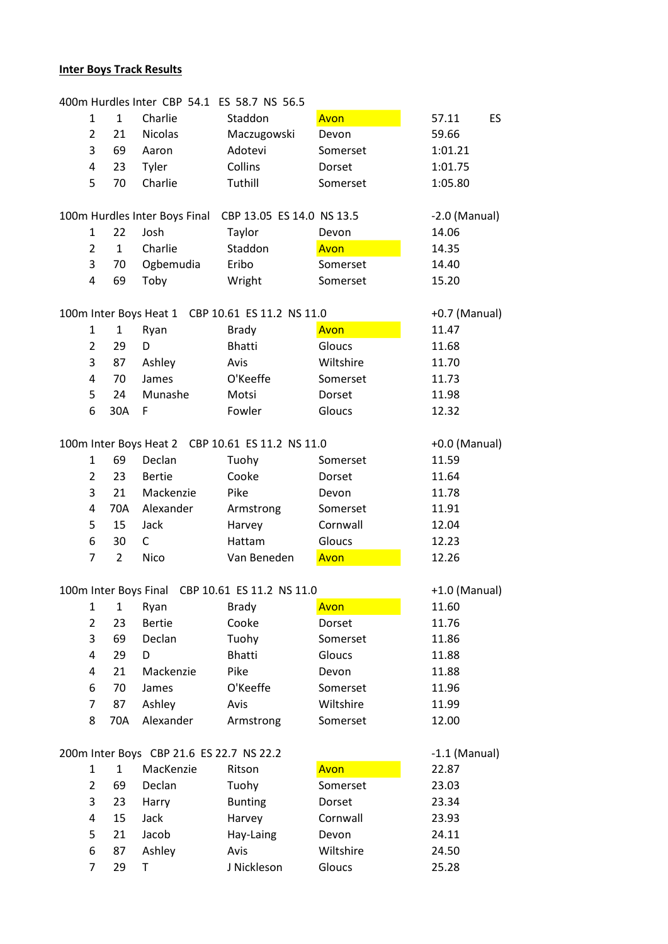# **Inter Boys Track Results**

| 400m Hurdles Inter CBP 54.1 ES 58.7 NS 56.5 |                |                                          |                                                  |           |                 |  |  |
|---------------------------------------------|----------------|------------------------------------------|--------------------------------------------------|-----------|-----------------|--|--|
| 1                                           | $\mathbf{1}$   | Charlie                                  | Staddon                                          | Avon      | 57.11<br>ES.    |  |  |
| $\overline{2}$                              | 21             | <b>Nicolas</b>                           | Maczugowski                                      | Devon     | 59.66           |  |  |
| 3                                           | 69             | Aaron                                    | Adotevi                                          | Somerset  | 1:01.21         |  |  |
| 4                                           | 23             | Tyler                                    | Collins                                          | Dorset    | 1:01.75         |  |  |
| 5                                           | 70             | Charlie                                  | Tuthill                                          | Somerset  | 1:05.80         |  |  |
|                                             |                |                                          |                                                  |           |                 |  |  |
|                                             |                | 100m Hurdles Inter Boys Final            | CBP 13.05 ES 14.0 NS 13.5                        |           | $-2.0$ (Manual) |  |  |
| 1                                           | 22             | Josh                                     | Taylor                                           | Devon     | 14.06           |  |  |
| $\overline{2}$                              | $\mathbf{1}$   | Charlie                                  | Staddon                                          | Avon      | 14.35           |  |  |
| 3                                           | 70             | Ogbemudia                                | Eribo                                            | Somerset  | 14.40           |  |  |
| 4                                           | 69             | Toby                                     | Wright                                           | Somerset  | 15.20           |  |  |
|                                             |                |                                          |                                                  |           |                 |  |  |
|                                             |                |                                          | 100m Inter Boys Heat 1 CBP 10.61 ES 11.2 NS 11.0 |           | $+0.7$ (Manual) |  |  |
| 1                                           | $\mathbf{1}$   | Ryan                                     | <b>Brady</b>                                     | Avon      | 11.47           |  |  |
| $\overline{2}$                              | 29             | D                                        | <b>Bhatti</b>                                    | Gloucs    | 11.68           |  |  |
| 3                                           | 87             | Ashley                                   | Avis                                             | Wiltshire | 11.70           |  |  |
| 4                                           | 70             | James                                    | O'Keeffe                                         | Somerset  | 11.73           |  |  |
| 5                                           | 24             | Munashe                                  | Motsi                                            | Dorset    | 11.98           |  |  |
| 6                                           | 30A            | F                                        | Fowler                                           | Gloucs    | 12.32           |  |  |
|                                             |                |                                          |                                                  |           |                 |  |  |
|                                             |                |                                          | 100m Inter Boys Heat 2 CBP 10.61 ES 11.2 NS 11.0 |           | $+0.0$ (Manual) |  |  |
| $\mathbf{1}$                                | 69             | Declan                                   | Tuohy                                            | Somerset  | 11.59           |  |  |
| $\overline{2}$                              | 23             | <b>Bertie</b>                            | Cooke                                            | Dorset    | 11.64           |  |  |
| 3                                           | 21             | Mackenzie                                | Pike                                             |           |                 |  |  |
|                                             |                |                                          |                                                  | Devon     | 11.78           |  |  |
| 4                                           | 70A            | Alexander                                | Armstrong                                        | Somerset  | 11.91           |  |  |
| 5                                           | 15             | Jack                                     | Harvey                                           | Cornwall  | 12.04           |  |  |
| 6                                           | 30             | $\mathsf{C}$                             | Hattam                                           | Gloucs    | 12.23           |  |  |
| $\overline{7}$                              | $\overline{2}$ | Nico                                     | Van Beneden                                      | Avon      | 12.26           |  |  |
|                                             |                |                                          |                                                  |           |                 |  |  |
|                                             |                |                                          | 100m Inter Boys Final CBP 10.61 ES 11.2 NS 11.0  |           | $+1.0$ (Manual) |  |  |
| $\mathbf 1$                                 | $\mathbf{1}$   | Ryan                                     | <b>Brady</b>                                     | Avon      | 11.60           |  |  |
| $\overline{2}$                              | 23             | <b>Bertie</b>                            | Cooke                                            | Dorset    | 11.76           |  |  |
| 3                                           | 69             | Declan                                   | Tuohy                                            | Somerset  | 11.86           |  |  |
| 4                                           | 29             | D                                        | <b>Bhatti</b>                                    | Gloucs    | 11.88           |  |  |
| 4                                           | 21             | Mackenzie                                | Pike                                             | Devon     | 11.88           |  |  |
| 6                                           | 70             | James                                    | O'Keeffe                                         | Somerset  | 11.96           |  |  |
| 7                                           | 87             | Ashley                                   | Avis                                             | Wiltshire | 11.99           |  |  |
| 8                                           | 70A            | Alexander                                | Armstrong                                        | Somerset  | 12.00           |  |  |
|                                             |                |                                          |                                                  |           |                 |  |  |
|                                             |                | 200m Inter Boys CBP 21.6 ES 22.7 NS 22.2 |                                                  |           | $-1.1$ (Manual) |  |  |
| $\mathbf{1}$                                | $\mathbf{1}$   | MacKenzie                                | Ritson                                           | Avon      | 22.87           |  |  |
| $\overline{2}$                              | 69             | Declan                                   | Tuohy                                            | Somerset  | 23.03           |  |  |
| 3                                           | 23             | Harry                                    | <b>Bunting</b>                                   | Dorset    | 23.34           |  |  |
| 4                                           | 15             | Jack                                     | Harvey                                           | Cornwall  | 23.93           |  |  |
| 5                                           | 21             | Jacob                                    | Hay-Laing                                        | Devon     | 24.11           |  |  |
| 6                                           | 87             | Ashley                                   | Avis                                             | Wiltshire | 24.50           |  |  |
| 7                                           | 29             | Т                                        | J Nickleson                                      | Gloucs    | 25.28           |  |  |
|                                             |                |                                          |                                                  |           |                 |  |  |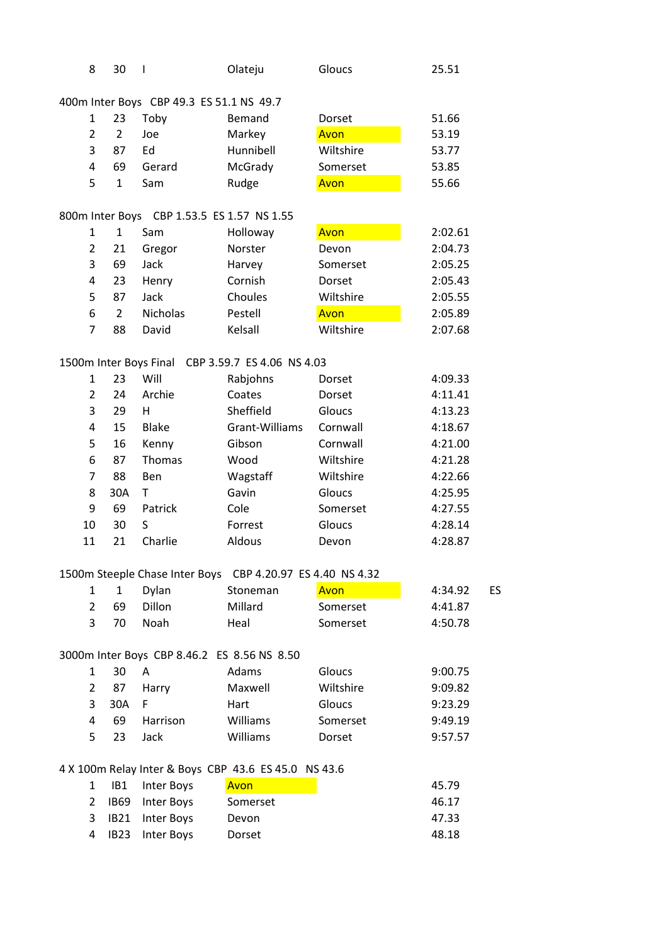| 8              | 30             | $\overline{\phantom{a}}$                 | Olateju                                                    | Gloucs    | 25.51   |    |
|----------------|----------------|------------------------------------------|------------------------------------------------------------|-----------|---------|----|
|                |                | 400m Inter Boys CBP 49.3 ES 51.1 NS 49.7 |                                                            |           |         |    |
| $\mathbf{1}$   | 23             | Toby                                     | Bemand                                                     | Dorset    | 51.66   |    |
| $\overline{2}$ | $\overline{2}$ | Joe                                      | Markey                                                     | Avon      | 53.19   |    |
| 3              | 87             | Ed                                       | Hunnibell                                                  | Wiltshire | 53.77   |    |
| 4              | 69             | Gerard                                   | McGrady                                                    | Somerset  | 53.85   |    |
| 5              | $\mathbf{1}$   | Sam                                      | Rudge                                                      | Avon      | 55.66   |    |
|                |                |                                          | 800m Inter Boys CBP 1.53.5 ES 1.57 NS 1.55                 |           |         |    |
| $\mathbf{1}$   | $\mathbf{1}$   | Sam                                      | Holloway                                                   | Avon      | 2:02.61 |    |
| $\overline{2}$ | 21             | Gregor                                   | Norster                                                    | Devon     | 2:04.73 |    |
| 3              | 69             | Jack                                     | Harvey                                                     | Somerset  | 2:05.25 |    |
| 4              | 23             |                                          | Cornish                                                    |           | 2:05.43 |    |
|                |                | Henry                                    | Choules                                                    | Dorset    | 2:05.55 |    |
| 5              | 87             | Jack                                     |                                                            | Wiltshire |         |    |
| 6              | $\overline{2}$ | <b>Nicholas</b>                          | Pestell                                                    | Avon      | 2:05.89 |    |
| $\overline{7}$ | 88             | David                                    | Kelsall                                                    | Wiltshire | 2:07.68 |    |
|                |                |                                          | 1500m Inter Boys Final CBP 3.59.7 ES 4.06 NS 4.03          |           |         |    |
| $\mathbf{1}$   | 23             | Will                                     | Rabjohns                                                   | Dorset    | 4:09.33 |    |
| 2              | 24             | Archie                                   | Coates                                                     | Dorset    | 4:11.41 |    |
| 3              | 29             | H                                        | Sheffield                                                  | Gloucs    | 4:13.23 |    |
| 4              | 15             | <b>Blake</b>                             | Grant-Williams                                             | Cornwall  | 4:18.67 |    |
| 5              | 16             | Kenny                                    | Gibson                                                     | Cornwall  | 4:21.00 |    |
| 6              | 87             | Thomas                                   | Wood                                                       | Wiltshire | 4:21.28 |    |
| $\overline{7}$ | 88             | Ben                                      | Wagstaff                                                   | Wiltshire | 4:22.66 |    |
| 8              | 30A            | T                                        | Gavin                                                      | Gloucs    | 4:25.95 |    |
| 9              | 69             | Patrick                                  | Cole                                                       | Somerset  | 4:27.55 |    |
| 10             | 30             | S                                        | Forrest                                                    | Gloucs    | 4:28.14 |    |
| 11             | 21             | Charlie                                  | Aldous                                                     | Devon     | 4:28.87 |    |
|                |                |                                          | 1500m Steeple Chase Inter Boys CBP 4.20.97 ES 4.40 NS 4.32 |           |         |    |
| $\mathbf{1}$   | 1              | Dylan                                    | Stoneman                                                   | Avon      | 4:34.92 | ES |
| $\overline{2}$ | 69             | <b>Dillon</b>                            | Millard                                                    | Somerset  | 4:41.87 |    |
| 3              | 70             | Noah                                     | Heal                                                       | Somerset  | 4:50.78 |    |
|                |                |                                          | 3000m Inter Boys CBP 8.46.2 ES 8.56 NS 8.50                |           |         |    |
| 1              | 30             | A                                        | Adams                                                      | Gloucs    | 9:00.75 |    |
| $\overline{2}$ | 87             | Harry                                    | Maxwell                                                    | Wiltshire | 9:09.82 |    |
| 3              | 30A            | F                                        | Hart                                                       | Gloucs    | 9:23.29 |    |
| 4              | 69             | Harrison                                 | Williams                                                   | Somerset  | 9:49.19 |    |
| 5              | 23             | Jack                                     | Williams                                                   | Dorset    | 9:57.57 |    |
|                |                |                                          |                                                            |           |         |    |
|                |                |                                          | 4 X 100m Relay Inter & Boys CBP 43.6 ES 45.0 NS 43.6       |           |         |    |
| 1              | IB1            | Inter Boys                               | Avon                                                       |           | 45.79   |    |
| $\overline{2}$ | <b>IB69</b>    | Inter Boys                               | Somerset                                                   |           | 46.17   |    |
| 3              | <b>IB21</b>    | Inter Boys                               | Devon                                                      |           | 47.33   |    |
| 4              | <b>IB23</b>    | <b>Inter Boys</b>                        | Dorset                                                     |           | 48.18   |    |
|                |                |                                          |                                                            |           |         |    |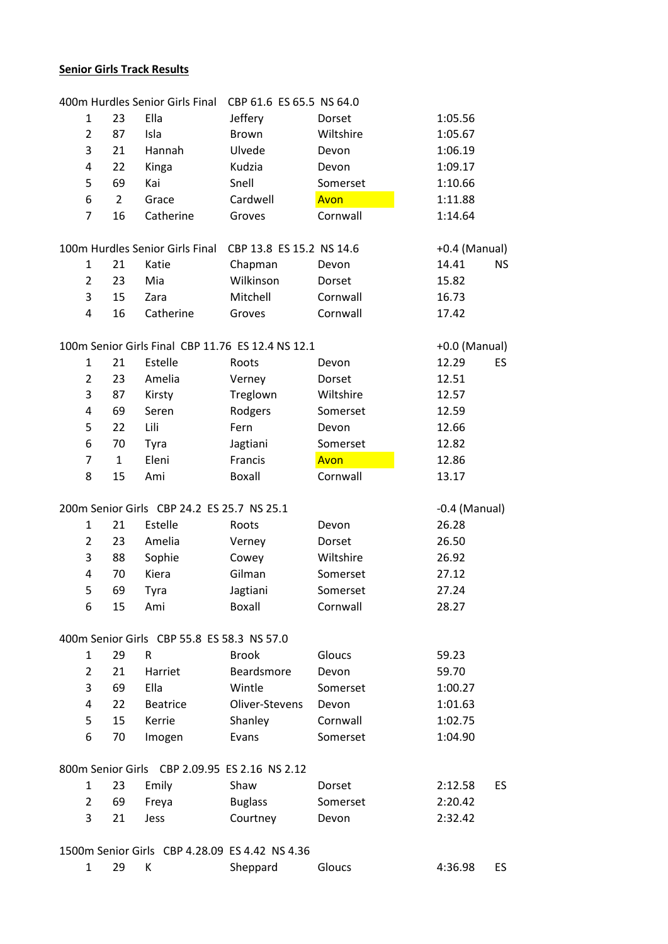# Senior Girls Track Results

|                |                | 400m Hurdles Senior Girls Final               | CBP 61.6 ES 65.5 NS 64.0                          |           |                 |           |
|----------------|----------------|-----------------------------------------------|---------------------------------------------------|-----------|-----------------|-----------|
| 1              | 23             | Ella                                          | Jeffery                                           | Dorset    | 1:05.56         |           |
| $\overline{2}$ | 87             | Isla                                          | <b>Brown</b>                                      | Wiltshire | 1:05.67         |           |
| 3              | 21             | Hannah                                        | Ulvede                                            | Devon     | 1:06.19         |           |
| 4              | 22             | Kinga                                         | Kudzia                                            | Devon     | 1:09.17         |           |
| 5              | 69             | Kai                                           | Snell                                             | Somerset  | 1:10.66         |           |
| 6              | $\overline{2}$ | Grace                                         | Cardwell                                          | Avon      | 1:11.88         |           |
| $\overline{7}$ | 16             | Catherine                                     | Groves                                            | Cornwall  | 1:14.64         |           |
|                |                | 100m Hurdles Senior Girls Final               | CBP 13.8 ES 15.2 NS 14.6                          |           | $+0.4$ (Manual) |           |
| 1              | 21             | Katie                                         | Chapman                                           | Devon     | 14.41           | <b>NS</b> |
| $\overline{2}$ | 23             | Mia                                           | Wilkinson                                         | Dorset    | 15.82           |           |
| 3              | 15             | Zara                                          | Mitchell                                          | Cornwall  | 16.73           |           |
| 4              | 16             | Catherine                                     | Groves                                            | Cornwall  | 17.42           |           |
|                |                |                                               | 100m Senior Girls Final CBP 11.76 ES 12.4 NS 12.1 |           | $+0.0$ (Manual) |           |
| 1              | 21             | Estelle                                       | Roots                                             | Devon     | 12.29           | <b>ES</b> |
| $\overline{2}$ | 23             | Amelia                                        | Verney                                            | Dorset    | 12.51           |           |
| 3              | 87             | Kirsty                                        | Treglown                                          | Wiltshire | 12.57           |           |
| 4              | 69             | Seren                                         | Rodgers                                           | Somerset  | 12.59           |           |
| 5              | 22             | Lili                                          | Fern                                              | Devon     | 12.66           |           |
| 6              | 70             | Tyra                                          | Jagtiani                                          | Somerset  | 12.82           |           |
| $\overline{7}$ | $\mathbf{1}$   | Eleni                                         | Francis                                           | Avon      | 12.86           |           |
| 8              | 15             | Ami                                           | Boxall                                            | Cornwall  | 13.17           |           |
|                |                | 200m Senior Girls CBP 24.2 ES 25.7 NS 25.1    |                                                   |           | $-0.4$ (Manual) |           |
| 1              | 21             | Estelle                                       | Roots                                             | Devon     | 26.28           |           |
| $\overline{2}$ | 23             | Amelia                                        | Verney                                            | Dorset    | 26.50           |           |
| 3              | 88             | Sophie                                        | Cowey                                             | Wiltshire | 26.92           |           |
| 4              | 70             | Kiera                                         | Gilman                                            | Somerset  | 27.12           |           |
| 5              | 69             | Tyra                                          | Jagtiani                                          | Somerset  | 27.24           |           |
| 6              | 15             | Ami                                           | <b>Boxall</b>                                     | Cornwall  | 28.27           |           |
|                |                | 400m Senior Girls CBP 55.8 ES 58.3 NS 57.0    |                                                   |           |                 |           |
| 1              | 29             | R                                             | <b>Brook</b>                                      | Gloucs    | 59.23           |           |
| $\overline{2}$ | 21             | Harriet                                       | Beardsmore                                        | Devon     | 59.70           |           |
| 3              | 69             | Ella                                          | Wintle                                            | Somerset  | 1:00.27         |           |
| 4              | 22             | <b>Beatrice</b>                               | Oliver-Stevens                                    | Devon     | 1:01.63         |           |
| 5              | 15             | Kerrie                                        | Shanley                                           | Cornwall  | 1:02.75         |           |
| 6              | 70             | Imogen                                        | Evans                                             | Somerset  | 1:04.90         |           |
|                |                | 800m Senior Girls CBP 2.09.95 ES 2.16 NS 2.12 |                                                   |           |                 |           |
| 1              | 23             | Emily                                         | Shaw                                              | Dorset    | 2:12.58         | <b>ES</b> |
| $\overline{2}$ | 69             | Freya                                         | <b>Buglass</b>                                    | Somerset  | 2:20.42         |           |
| 3              | 21             | Jess                                          | Courtney                                          | Devon     | 2:32.42         |           |
|                |                |                                               | 1500m Senior Girls CBP 4.28.09 ES 4.42 NS 4.36    |           |                 |           |
| $\mathbf{1}$   | 29             | K                                             | Sheppard                                          | Gloucs    | 4:36.98         | <b>ES</b> |
|                |                |                                               |                                                   |           |                 |           |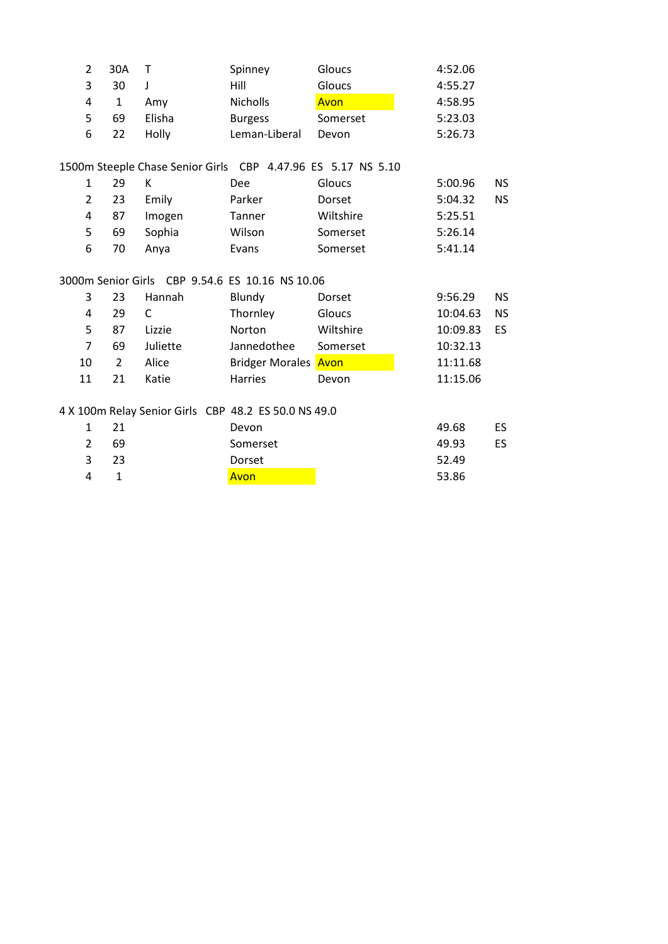| 2              | 30A            | Τ                                               | Spinney                                                      | Gloucs    | 4:52.06  |           |
|----------------|----------------|-------------------------------------------------|--------------------------------------------------------------|-----------|----------|-----------|
| 3              | 30             | J                                               | Hill                                                         | Gloucs    | 4:55.27  |           |
| 4              | $\mathbf{1}$   | Amy                                             | Nicholls                                                     | Avon      | 4:58.95  |           |
| 5              | 69             | Elisha                                          | <b>Burgess</b>                                               | Somerset  | 5:23.03  |           |
| 6              | 22             | Holly                                           | Leman-Liberal                                                | Devon     | 5:26.73  |           |
|                |                |                                                 | 1500m Steeple Chase Senior Girls CBP 4.47.96 ES 5.17 NS 5.10 |           |          |           |
| $\mathbf{1}$   | 29             | К                                               | Dee                                                          | Gloucs    | 5:00.96  | <b>NS</b> |
| $\overline{2}$ | 23             | Emily                                           | Parker                                                       | Dorset    | 5:04.32  | <b>NS</b> |
| 4              | 87             | Imogen                                          | Tanner                                                       | Wiltshire | 5:25.51  |           |
| 5              | 69             | Sophia                                          | Wilson                                                       | Somerset  | 5:26.14  |           |
| 6              | 70             | Anya                                            | Evans                                                        | Somerset  | 5:41.14  |           |
|                |                |                                                 |                                                              |           |          |           |
|                |                | 3000m Senior Girls CBP 9.54.6 ES 10.16 NS 10.06 |                                                              |           |          |           |
| 3              | 23             | Hannah                                          | Blundy                                                       | Dorset    | 9:56.29  | <b>NS</b> |
| 4              | 29             | C                                               | Thornley                                                     | Gloucs    | 10:04.63 | <b>NS</b> |
| 5              | 87             | Lizzie                                          | Norton                                                       | Wiltshire | 10:09.83 | ES        |
| $\overline{7}$ | 69             | Juliette                                        | Jannedothee                                                  | Somerset  | 10:32.13 |           |
| 10             | $\overline{2}$ | Alice                                           | <b>Bridger Morales Avon</b>                                  |           | 11:11.68 |           |
| 11             | 21             | Katie                                           | <b>Harries</b>                                               | Devon     | 11:15.06 |           |
|                |                |                                                 | 4 X 100m Relay Senior Girls CBP 48.2 ES 50.0 NS 49.0         |           |          |           |
| $\mathbf{1}$   | 21             |                                                 | Devon                                                        |           | 49.68    | <b>ES</b> |
| 2              | 69             |                                                 | Somerset                                                     |           | 49.93    | ES        |
| 3              | 23             |                                                 | Dorset                                                       |           | 52.49    |           |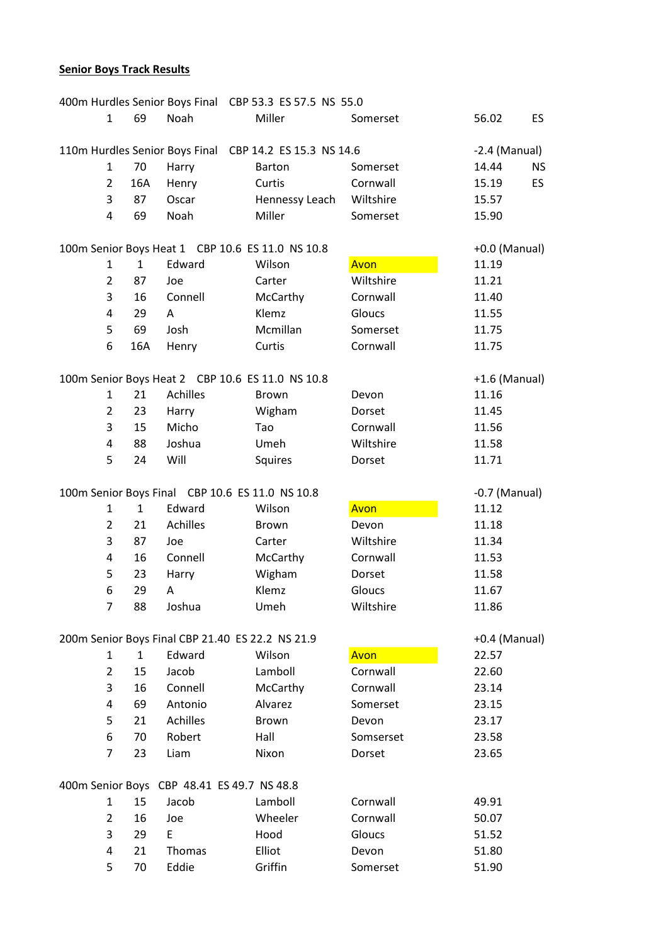### **Senior Boys Track Results**

| 400m Hurdles Senior Boys Final CBP 53.3 ES 57.5 NS 55.0 |                |                                                 |                                                  |                                                         |                   |                    |  |
|---------------------------------------------------------|----------------|-------------------------------------------------|--------------------------------------------------|---------------------------------------------------------|-------------------|--------------------|--|
|                                                         | $\mathbf{1}$   | 69                                              | Noah                                             | Miller                                                  | Somerset          | 56.02<br><b>ES</b> |  |
|                                                         |                |                                                 |                                                  | 110m Hurdles Senior Boys Final CBP 14.2 ES 15.3 NS 14.6 |                   | $-2.4$ (Manual)    |  |
|                                                         | $\mathbf{1}$   | 70                                              | Harry                                            | Barton                                                  | Somerset          | 14.44<br><b>NS</b> |  |
|                                                         | $\overline{2}$ | 16A                                             | Henry                                            | Curtis                                                  | Cornwall          | ES<br>15.19        |  |
|                                                         | 3              | 87                                              | Oscar                                            | Hennessy Leach                                          | Wiltshire         | 15.57              |  |
|                                                         | 4              | 69                                              | Noah                                             | Miller                                                  | Somerset          | 15.90              |  |
|                                                         |                |                                                 |                                                  |                                                         |                   |                    |  |
|                                                         |                |                                                 | 100m Senior Boys Heat 1 CBP 10.6 ES 11.0 NS 10.8 |                                                         |                   | +0.0 (Manual)      |  |
|                                                         | $\mathbf{1}$   | $\mathbf{1}$                                    | Edward                                           | Wilson                                                  | Avon              | 11.19              |  |
|                                                         | $\overline{2}$ | 87                                              | Joe                                              | Carter                                                  | Wiltshire         | 11.21              |  |
|                                                         | 3              | 16                                              | Connell                                          | McCarthy                                                | Cornwall          | 11.40              |  |
|                                                         | 4              | 29                                              | A                                                | Klemz                                                   | Gloucs            | 11.55              |  |
|                                                         | 5              | 69                                              | Josh                                             | Mcmillan                                                | Somerset          | 11.75              |  |
|                                                         | 6              | 16A                                             | Henry                                            | Curtis                                                  | Cornwall          | 11.75              |  |
|                                                         |                |                                                 |                                                  |                                                         |                   |                    |  |
|                                                         |                |                                                 | 100m Senior Boys Heat 2 CBP 10.6 ES 11.0 NS 10.8 |                                                         |                   | $+1.6$ (Manual)    |  |
|                                                         | $\mathbf{1}$   | 21                                              | <b>Achilles</b>                                  | <b>Brown</b>                                            | Devon             | 11.16              |  |
|                                                         | $\overline{2}$ | 23                                              | Harry                                            | Wigham                                                  | Dorset            | 11.45              |  |
|                                                         | 3              | 15                                              | Micho                                            | Tao                                                     | Cornwall          | 11.56              |  |
|                                                         | 4              | 88                                              | Joshua                                           | Umeh                                                    | Wiltshire         | 11.58              |  |
|                                                         | 5              | 24                                              | Will                                             | Squires                                                 | Dorset            | 11.71              |  |
|                                                         |                |                                                 |                                                  |                                                         |                   |                    |  |
|                                                         |                | 100m Senior Boys Final CBP 10.6 ES 11.0 NS 10.8 |                                                  |                                                         |                   |                    |  |
|                                                         |                |                                                 |                                                  |                                                         |                   | $-0.7$ (Manual)    |  |
|                                                         | $\mathbf{1}$   | $\mathbf{1}$                                    | Edward                                           | Wilson                                                  | Avon              | 11.12              |  |
|                                                         | $\overline{2}$ | 21                                              | Achilles                                         | <b>Brown</b>                                            | Devon             | 11.18              |  |
|                                                         | 3              | 87                                              | Joe                                              | Carter                                                  | Wiltshire         | 11.34              |  |
|                                                         | 4              | 16                                              | Connell                                          | McCarthy                                                | Cornwall          | 11.53              |  |
|                                                         | 5              | 23                                              | Harry                                            | Wigham                                                  | Dorset            | 11.58              |  |
|                                                         | 6              | 29                                              | A                                                | Klemz                                                   | Gloucs            | 11.67              |  |
|                                                         | $\overline{7}$ | 88                                              | Joshua                                           | Umeh                                                    | Wiltshire         | 11.86              |  |
|                                                         |                |                                                 |                                                  |                                                         |                   |                    |  |
|                                                         |                |                                                 | 200m Senior Boys Final CBP 21.40 ES 22.2 NS 21.9 |                                                         |                   | $+0.4$ (Manual)    |  |
|                                                         | $\mathbf{1}$   | $\mathbf{1}$                                    | Edward                                           | Wilson                                                  | Avon              | 22.57              |  |
|                                                         | 2              | 15                                              | Jacob                                            | Lamboll                                                 | Cornwall          | 22.60              |  |
|                                                         | 3              | 16                                              | Connell                                          | McCarthy                                                | Cornwall          | 23.14              |  |
|                                                         | 4              | 69                                              | Antonio                                          | Alvarez                                                 | Somerset          | 23.15              |  |
|                                                         | 5              | 21                                              | Achilles                                         | <b>Brown</b>                                            | Devon             | 23.17              |  |
|                                                         | 6              | 70                                              | Robert                                           | Hall                                                    | Somserset         | 23.58              |  |
|                                                         | 7              | 23                                              | Liam                                             | Nixon                                                   | Dorset            | 23.65              |  |
|                                                         |                |                                                 |                                                  |                                                         |                   |                    |  |
|                                                         |                |                                                 | 400m Senior Boys CBP 48.41 ES 49.7 NS 48.8       |                                                         |                   |                    |  |
|                                                         | $\mathbf{1}$   | 15                                              | Jacob                                            | Lamboll                                                 | Cornwall          | 49.91              |  |
|                                                         | $\overline{2}$ | 16                                              | Joe                                              | Wheeler                                                 | Cornwall          | 50.07              |  |
|                                                         | 3              | 29                                              | E                                                | Hood                                                    | Gloucs            | 51.52              |  |
|                                                         | 4<br>5         | 21<br>70                                        | Thomas<br>Eddie                                  | Elliot<br>Griffin                                       | Devon<br>Somerset | 51.80<br>51.90     |  |